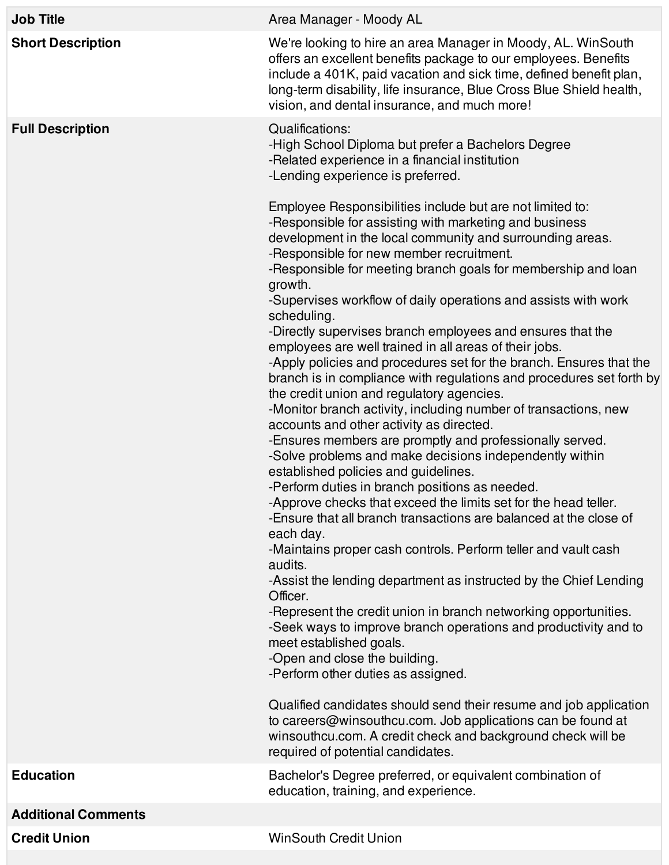| <b>Job Title</b>           | Area Manager - Moody AL                                                                                                                                                                                                                                                                                                                                                                                                                                                                                                                                                                                                                                                                                                                                                                                                                                                                                                                                                                                                                                                                                                                                                                                                                                                                                                                                                                                                                                                                                                                                                                                                                                                                                                                                                                                                                                                                                                                                                                                          |
|----------------------------|------------------------------------------------------------------------------------------------------------------------------------------------------------------------------------------------------------------------------------------------------------------------------------------------------------------------------------------------------------------------------------------------------------------------------------------------------------------------------------------------------------------------------------------------------------------------------------------------------------------------------------------------------------------------------------------------------------------------------------------------------------------------------------------------------------------------------------------------------------------------------------------------------------------------------------------------------------------------------------------------------------------------------------------------------------------------------------------------------------------------------------------------------------------------------------------------------------------------------------------------------------------------------------------------------------------------------------------------------------------------------------------------------------------------------------------------------------------------------------------------------------------------------------------------------------------------------------------------------------------------------------------------------------------------------------------------------------------------------------------------------------------------------------------------------------------------------------------------------------------------------------------------------------------------------------------------------------------------------------------------------------------|
| <b>Short Description</b>   | We're looking to hire an area Manager in Moody, AL. WinSouth<br>offers an excellent benefits package to our employees. Benefits<br>include a 401K, paid vacation and sick time, defined benefit plan,<br>long-term disability, life insurance, Blue Cross Blue Shield health,<br>vision, and dental insurance, and much more!                                                                                                                                                                                                                                                                                                                                                                                                                                                                                                                                                                                                                                                                                                                                                                                                                                                                                                                                                                                                                                                                                                                                                                                                                                                                                                                                                                                                                                                                                                                                                                                                                                                                                    |
| <b>Full Description</b>    | Qualifications:<br>-High School Diploma but prefer a Bachelors Degree<br>-Related experience in a financial institution<br>-Lending experience is preferred.<br>Employee Responsibilities include but are not limited to:<br>-Responsible for assisting with marketing and business<br>development in the local community and surrounding areas.<br>-Responsible for new member recruitment.<br>-Responsible for meeting branch goals for membership and loan<br>growth.<br>-Supervises workflow of daily operations and assists with work<br>scheduling.<br>-Directly supervises branch employees and ensures that the<br>employees are well trained in all areas of their jobs.<br>-Apply policies and procedures set for the branch. Ensures that the<br>branch is in compliance with regulations and procedures set forth by<br>the credit union and regulatory agencies.<br>-Monitor branch activity, including number of transactions, new<br>accounts and other activity as directed.<br>-Ensures members are promptly and professionally served.<br>-Solve problems and make decisions independently within<br>established policies and guidelines.<br>-Perform duties in branch positions as needed.<br>-Approve checks that exceed the limits set for the head teller.<br>-Ensure that all branch transactions are balanced at the close of<br>each day.<br>-Maintains proper cash controls. Perform teller and vault cash<br>audits.<br>-Assist the lending department as instructed by the Chief Lending<br>Officer.<br>-Represent the credit union in branch networking opportunities.<br>-Seek ways to improve branch operations and productivity and to<br>meet established goals.<br>-Open and close the building.<br>-Perform other duties as assigned.<br>Qualified candidates should send their resume and job application<br>to careers@winsouthcu.com. Job applications can be found at<br>winsouthcu.com. A credit check and background check will be<br>required of potential candidates. |
| <b>Education</b>           | Bachelor's Degree preferred, or equivalent combination of<br>education, training, and experience.                                                                                                                                                                                                                                                                                                                                                                                                                                                                                                                                                                                                                                                                                                                                                                                                                                                                                                                                                                                                                                                                                                                                                                                                                                                                                                                                                                                                                                                                                                                                                                                                                                                                                                                                                                                                                                                                                                                |
| <b>Additional Comments</b> |                                                                                                                                                                                                                                                                                                                                                                                                                                                                                                                                                                                                                                                                                                                                                                                                                                                                                                                                                                                                                                                                                                                                                                                                                                                                                                                                                                                                                                                                                                                                                                                                                                                                                                                                                                                                                                                                                                                                                                                                                  |
| <b>Credit Union</b>        | <b>WinSouth Credit Union</b>                                                                                                                                                                                                                                                                                                                                                                                                                                                                                                                                                                                                                                                                                                                                                                                                                                                                                                                                                                                                                                                                                                                                                                                                                                                                                                                                                                                                                                                                                                                                                                                                                                                                                                                                                                                                                                                                                                                                                                                     |